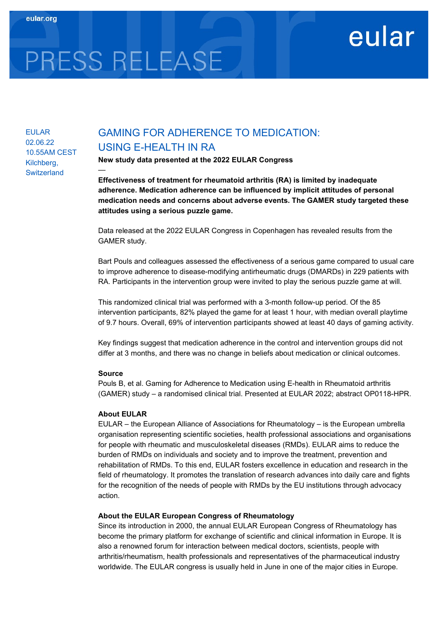# PRESS RELEASE

—

## EULAR 02.06.22 10.55AM CEST Kilchberg, **Switzerland**

# GAMING FOR ADHERENCE TO MEDICATION: USING E-HEALTH IN RA

New study data presented at the 2022 EULAR Congress

Effectiveness of treatment for rheumatoid arthritis (RA) is limited by inadequate adherence. Medication adherence can be influenced by implicit attitudes of personal medication needs and concerns about adverse events. The GAMER study targeted these attitudes using a serious puzzle game.

eular

Data released at the 2022 EULAR Congress in Copenhagen has revealed results from the GAMER study.

Bart Pouls and colleagues assessed the effectiveness of a serious game compared to usual care to improve adherence to disease-modifying antirheumatic drugs (DMARDs) in 229 patients with RA. Participants in the intervention group were invited to play the serious puzzle game at will.

This randomized clinical trial was performed with a 3-month follow-up period. Of the 85 intervention participants, 82% played the game for at least 1 hour, with median overall playtime of 9.7 hours. Overall, 69% of intervention participants showed at least 40 days of gaming activity.

Key findings suggest that medication adherence in the control and intervention groups did not differ at 3 months, and there was no change in beliefs about medication or clinical outcomes.

### Source

Pouls B, et al. Gaming for Adherence to Medication using E-health in Rheumatoid arthritis (GAMER) study – a randomised clinical trial. Presented at EULAR 2022; abstract OP0118-HPR.

### About EULAR

EULAR – the European Alliance of Associations for Rheumatology – is the European umbrella organisation representing scientific societies, health professional associations and organisations for people with rheumatic and musculoskeletal diseases (RMDs). EULAR aims to reduce the burden of RMDs on individuals and society and to improve the treatment, prevention and rehabilitation of RMDs. To this end, EULAR fosters excellence in education and research in the field of rheumatology. It promotes the translation of research advances into daily care and fights for the recognition of the needs of people with RMDs by the EU institutions through advocacy action.

### About the EULAR European Congress of Rheumatology

Since its introduction in 2000, the annual EULAR European Congress of Rheumatology has become the primary platform for exchange of scientific and clinical information in Europe. It is also a renowned forum for interaction between medical doctors, scientists, people with arthritis/rheumatism, health professionals and representatives of the pharmaceutical industry worldwide. The EULAR congress is usually held in June in one of the major cities in Europe.